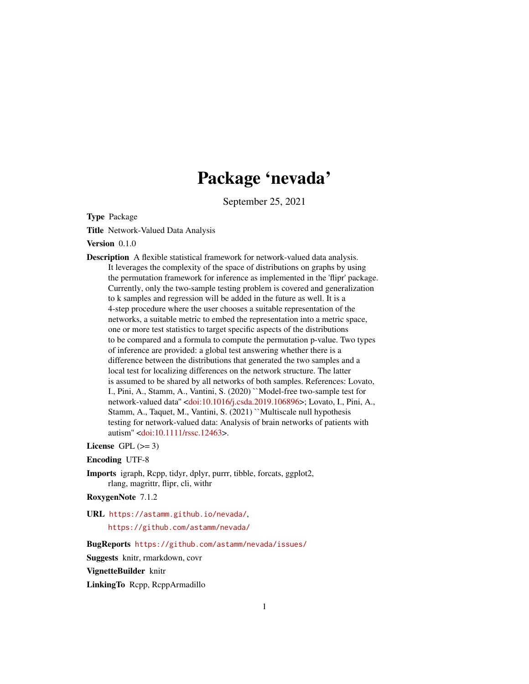# Package 'nevada'

September 25, 2021

<span id="page-0-0"></span>Type Package

Title Network-Valued Data Analysis

Version 0.1.0

Description A flexible statistical framework for network-valued data analysis. It leverages the complexity of the space of distributions on graphs by using the permutation framework for inference as implemented in the 'flipr' package. Currently, only the two-sample testing problem is covered and generalization to k samples and regression will be added in the future as well. It is a 4-step procedure where the user chooses a suitable representation of the networks, a suitable metric to embed the representation into a metric space, one or more test statistics to target specific aspects of the distributions to be compared and a formula to compute the permutation p-value. Two types of inference are provided: a global test answering whether there is a difference between the distributions that generated the two samples and a local test for localizing differences on the network structure. The latter is assumed to be shared by all networks of both samples. References: Lovato, I., Pini, A., Stamm, A., Vantini, S. (2020) ``Model-free two-sample test for network-valued data'' [<doi:10.1016/j.csda.2019.106896>](https://doi.org/10.1016/j.csda.2019.106896); Lovato, I., Pini, A., Stamm, A., Taquet, M., Vantini, S. (2021) ``Multiscale null hypothesis testing for network-valued data: Analysis of brain networks of patients with autism'' [<doi:10.1111/rssc.12463>](https://doi.org/10.1111/rssc.12463).

License GPL  $(>= 3)$ 

Encoding UTF-8

Imports igraph, Rcpp, tidyr, dplyr, purrr, tibble, forcats, ggplot2, rlang, magrittr, flipr, cli, withr

RoxygenNote 7.1.2

URL <https://astamm.github.io/nevada/>,

<https://github.com/astamm/nevada/>

BugReports <https://github.com/astamm/nevada/issues/>

Suggests knitr, rmarkdown, covr

VignetteBuilder knitr

LinkingTo Rcpp, RcppArmadillo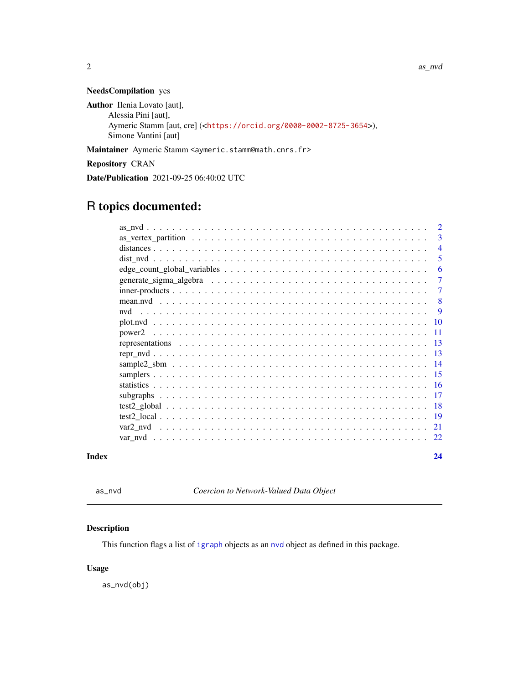<span id="page-1-0"></span>2 as  $\alpha$  as  $\alpha$  as  $\alpha$  as  $\alpha$  as  $\alpha$  as  $\alpha$  as  $\alpha$  as  $\alpha$  as  $\alpha$  as  $\alpha$  as  $\alpha$  as  $\alpha$  as  $\alpha$  as  $\alpha$  as  $\alpha$  as  $\alpha$  as  $\alpha$  as  $\alpha$  as  $\alpha$  as  $\alpha$  as  $\alpha$  as  $\alpha$  as  $\alpha$  as  $\alpha$  as  $\alpha$  as  $\alpha$  as  $\alpha$  as

#### NeedsCompilation yes

Author Ilenia Lovato [aut], Alessia Pini [aut], Aymeric Stamm [aut, cre] (<<https://orcid.org/0000-0002-8725-3654>>), Simone Vantini [aut]

Maintainer Aymeric Stamm <aymeric.stamm@math.cnrs.fr>

Repository CRAN

Date/Publication 2021-09-25 06:40:02 UTC

# R topics documented:

|       | $\overline{2}$ |
|-------|----------------|
|       | -3             |
|       | $\overline{4}$ |
|       | -5             |
|       | -6             |
|       | $\overline{7}$ |
|       | 7              |
|       | -8             |
|       |                |
|       |                |
|       |                |
|       |                |
|       |                |
|       |                |
|       |                |
|       |                |
|       |                |
|       |                |
|       |                |
|       |                |
|       |                |
| Index | 24             |

as\_nvd *Coercion to Network-Valued Data Object*

#### Description

This function flags a list of [igraph](#page-0-0) objects as an [nvd](#page-8-1) object as defined in this package.

#### Usage

as\_nvd(obj)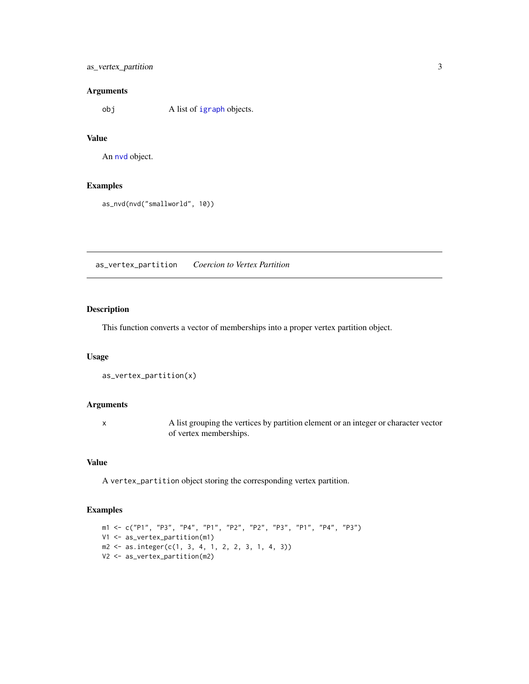#### <span id="page-2-0"></span>as\_vertex\_partition 3

#### Arguments

obj A list of [igraph](#page-0-0) objects.

#### Value

An [nvd](#page-8-1) object.

#### Examples

as\_nvd(nvd("smallworld", 10))

as\_vertex\_partition *Coercion to Vertex Partition*

#### Description

This function converts a vector of memberships into a proper vertex partition object.

#### Usage

```
as_vertex_partition(x)
```
#### Arguments

x A list grouping the vertices by partition element or an integer or character vector of vertex memberships.

#### Value

A vertex\_partition object storing the corresponding vertex partition.

#### Examples

```
m1 <- c("P1", "P3", "P4", "P1", "P2", "P2", "P3", "P1", "P4", "P3")
V1 <- as_vertex_partition(m1)
m2 \le - as.integer(c(1, 3, 4, 1, 2, 2, 3, 1, 4, 3))
V2 <- as_vertex_partition(m2)
```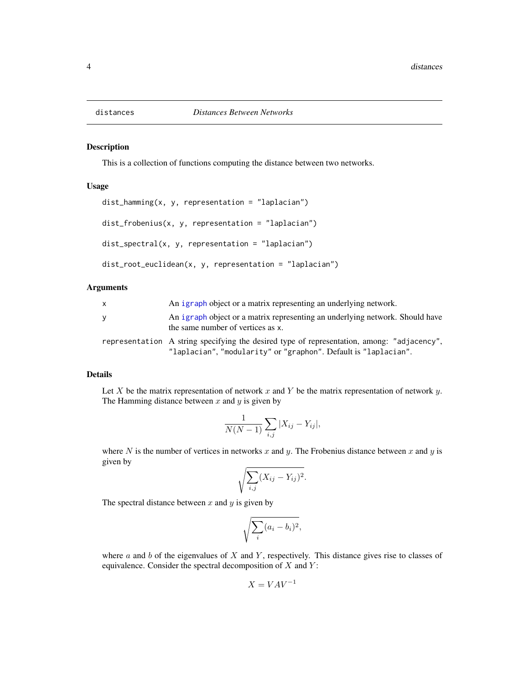<span id="page-3-0"></span>

This is a collection of functions computing the distance between two networks.

#### Usage

```
dist_hamming(x, y, representation = "laplacian")
dist_frobenius(x, y, representation = "laplacian")
dist\_spectral(x, y, representation = "laplacian")dist_root_euclidean(x, y, representation = "laplacian")
```
#### Arguments

| X | An igraph object or a matrix representing an underlying network.                                                                                              |
|---|---------------------------------------------------------------------------------------------------------------------------------------------------------------|
| У | An igraph object or a matrix representing an underlying network. Should have<br>the same number of vertices as x.                                             |
|   | representation A string specifying the desired type of representation, among: "adjacency",<br>"laplacian", "modularity" or "graphon". Default is "laplacian". |

#### Details

Let  $X$  be the matrix representation of network  $x$  and  $Y$  be the matrix representation of network  $y$ . The Hamming distance between  $x$  and  $y$  is given by

$$
\frac{1}{N(N-1)}\sum_{i,j}|X_{ij}-Y_{ij}|,
$$

where N is the number of vertices in networks x and y. The Frobenius distance between x and y is given by

$$
\sqrt{\sum_{i,j} (X_{ij} - Y_{ij})^2}.
$$

The spectral distance between  $x$  and  $y$  is given by

$$
\sqrt{\sum_i (a_i - b_i)^2},
$$

where  $a$  and  $b$  of the eigenvalues of  $X$  and  $Y$ , respectively. This distance gives rise to classes of equivalence. Consider the spectral decomposition of  $X$  and  $Y$ :

$$
X = VAV^{-1}
$$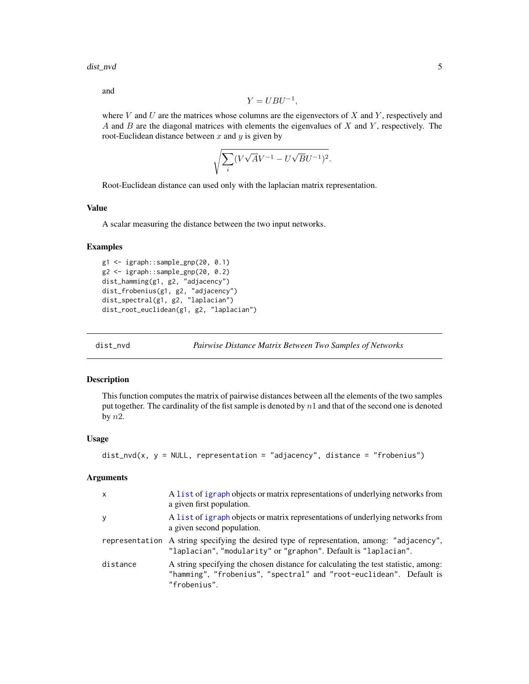<span id="page-4-0"></span>dist\_nvd 5

and

$$
Y = UBU^{-1},
$$

where  $V$  and  $U$  are the matrices whose columns are the eigenvectors of  $X$  and  $Y$ , respectively and A and  $B$  are the diagonal matrices with elements the eigenvalues of  $X$  and  $Y$ , respectively. The root-Euclidean distance between  $x$  and  $y$  is given by

$$
\sqrt{\sum_{i} (V\sqrt{A}V^{-1} - U\sqrt{B}U^{-1})^2}.
$$

Root-Euclidean distance can used only with the laplacian matrix representation.

#### Value

A scalar measuring the distance between the two input networks.

#### Examples

```
g1 <- igraph::sample_gnp(20, 0.1)
g2 <- igraph::sample_gnp(20, 0.2)
dist_hamming(g1, g2, "adjacency")
dist_frobenius(g1, g2, "adjacency")
dist_spectral(g1, g2, "laplacian")
dist_root_euclidean(g1, g2, "laplacian")
```
dist\_nvd *Pairwise Distance Matrix Between Two Samples of Networks*

#### Description

This function computes the matrix of pairwise distances between all the elements of the two samples put together. The cardinality of the fist sample is denoted by  $n1$  and that of the second one is denoted by  $n2$ .

#### Usage

```
dist\_nvd(x, y = NULL, representation = "adjacency", distance = "frobenius")
```

| X        | A list of igraph objects or matrix representations of underlying networks from<br>a given first population.                                                               |
|----------|---------------------------------------------------------------------------------------------------------------------------------------------------------------------------|
| У        | A list of igraph objects or matrix representations of underlying networks from<br>a given second population.                                                              |
|          | representation A string specifying the desired type of representation, among: "adjacency",<br>"laplacian", "modularity" or "graphon". Default is "laplacian".             |
| distance | A string specifying the chosen distance for calculating the test statistic, among:<br>"hamming", "frobenius", "spectral" and "root-euclidean". Default is<br>"frobenius". |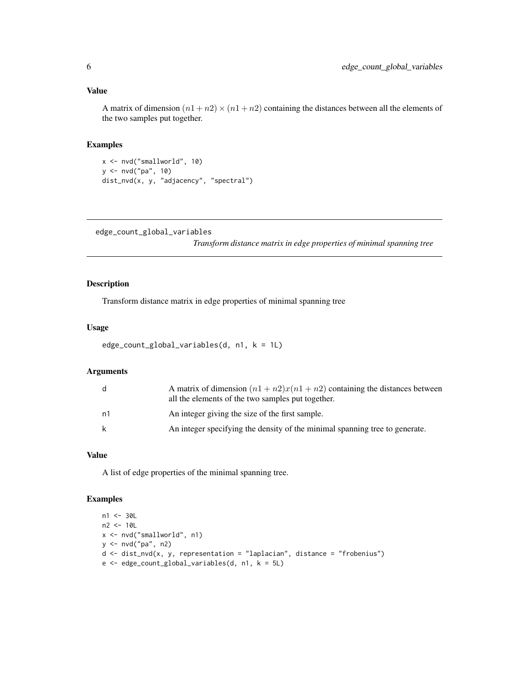<span id="page-5-0"></span>A matrix of dimension  $(n1 + n2) \times (n1 + n2)$  containing the distances between all the elements of the two samples put together.

#### Examples

```
x <- nvd("smallworld", 10)
y <- nvd("pa", 10)
dist_nvd(x, y, "adjacency", "spectral")
```
<span id="page-5-1"></span>edge\_count\_global\_variables

*Transform distance matrix in edge properties of minimal spanning tree*

#### Description

Transform distance matrix in edge properties of minimal spanning tree

#### Usage

```
edge_count_global_variables(d, n1, k = 1L)
```
#### Arguments

| d. | A matrix of dimension $(n1 + n2)x(n1 + n2)$ containing the distances between<br>all the elements of the two samples put together. |
|----|-----------------------------------------------------------------------------------------------------------------------------------|
| n1 | An integer giving the size of the first sample.                                                                                   |
| k  | An integer specifying the density of the minimal spanning tree to generate.                                                       |

#### Value

A list of edge properties of the minimal spanning tree.

#### Examples

```
n1 < -30Ln2 <- 10L
x <- nvd("smallworld", n1)
y <- nvd("pa", n2)
d \leq dist_nvd(x, y, representation = "laplacian", distance = "frobenius")
e <- edge_count_global_variables(d, n1, k = 5L)
```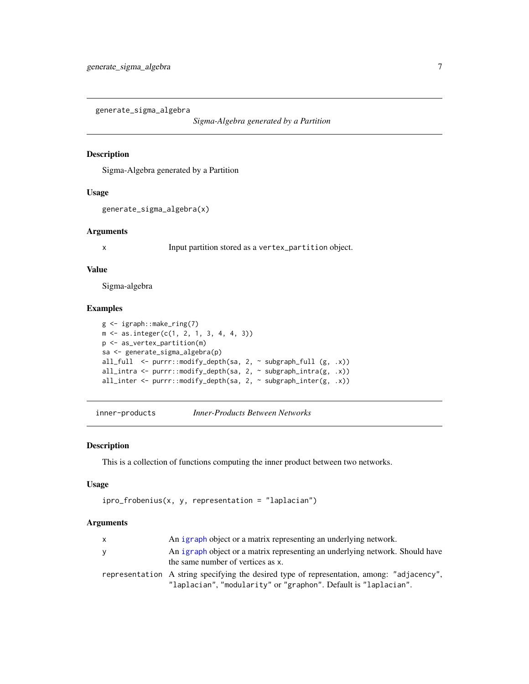<span id="page-6-0"></span>generate\_sigma\_algebra

*Sigma-Algebra generated by a Partition*

#### Description

Sigma-Algebra generated by a Partition

#### Usage

```
generate_sigma_algebra(x)
```
#### Arguments

x Input partition stored as a vertex\_partition object.

#### Value

Sigma-algebra

#### Examples

```
g <- igraph::make_ring(7)
m <- as.integer(c(1, 2, 1, 3, 4, 4, 3))
p <- as_vertex_partition(m)
sa <- generate_sigma_algebra(p)
all_full <- purrr::modify_depth(sa, 2, ~ subgraph_full (g, .x))
all_intra <- purrr::modify_depth(sa, 2, ~ subgraph_intra(g, .x))
all_inter <- purrr::modify_depth(sa, 2, ~ subgraph_inter(g, .x))
```
inner-products *Inner-Products Between Networks*

#### Description

This is a collection of functions computing the inner product between two networks.

#### Usage

```
ipro_frobenius(x, y, representation = "laplacian")
```

| $\mathsf{x}$ | An igraph object or a matrix representing an underlying network.                                                                                              |
|--------------|---------------------------------------------------------------------------------------------------------------------------------------------------------------|
| y            | An igraph object or a matrix representing an underlying network. Should have<br>the same number of vertices as x.                                             |
|              | representation A string specifying the desired type of representation, among: "adjacency",<br>"laplacian", "modularity" or "graphon". Default is "laplacian". |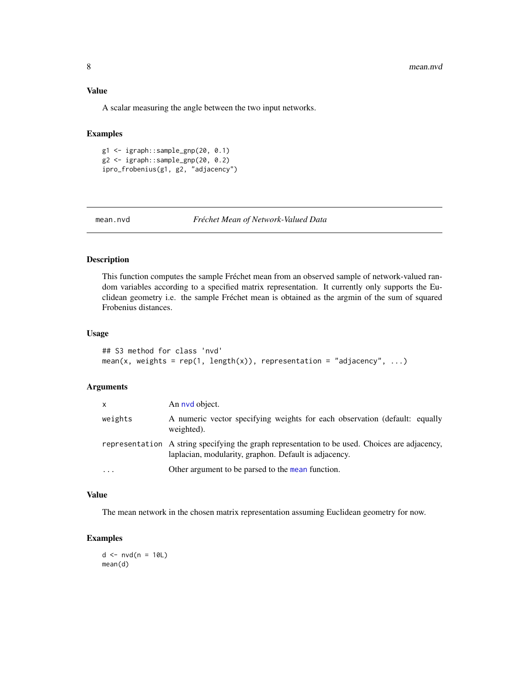#### <span id="page-7-0"></span>Value

A scalar measuring the angle between the two input networks.

### Examples

g1 <- igraph::sample\_gnp(20, 0.1) g2 <- igraph::sample\_gnp(20, 0.2) ipro\_frobenius(g1, g2, "adjacency")

mean.nvd *Fréchet Mean of Network-Valued Data*

#### Description

This function computes the sample Fréchet mean from an observed sample of network-valued random variables according to a specified matrix representation. It currently only supports the Euclidean geometry i.e. the sample Fréchet mean is obtained as the argmin of the sum of squared Frobenius distances.

#### Usage

```
## S3 method for class 'nvd'
mean(x, weights = rep(1, length(x)), representation = "adjacency", ...)
```
#### Arguments

| X         | An nvd object.                                                                                                                                          |
|-----------|---------------------------------------------------------------------------------------------------------------------------------------------------------|
| weights   | A numeric vector specifying weights for each observation (default: equally<br>weighted).                                                                |
|           | representation A string specifying the graph representation to be used. Choices are adjacency,<br>laplacian, modularity, graphon. Default is adjacency. |
| $\ddotsc$ | Other argument to be parsed to the mean function.                                                                                                       |

#### Value

The mean network in the chosen matrix representation assuming Euclidean geometry for now.

### Examples

 $d \leq -nv d(n = 10L)$ mean(d)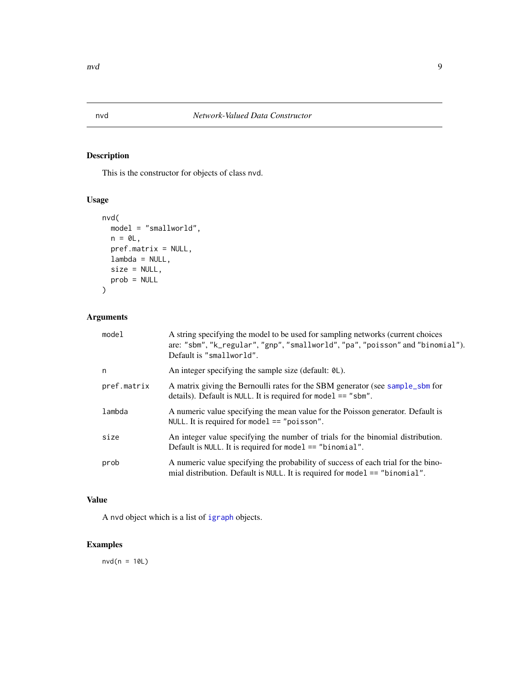This is the constructor for objects of class nvd.

### Usage

```
nvd(
  model = "smallworld",
  n = 0L,pref.matrix = NULL,
  lambda = NULL,
  size = NULL,
  prob = NULL
\mathcal{L}
```
### Arguments

| model       | A string specifying the model to be used for sampling networks (current choices<br>are: "sbm", "k_regular", "gnp", "smallworld", "pa", "poisson" and "binomial").<br>Default is "smallworld". |
|-------------|-----------------------------------------------------------------------------------------------------------------------------------------------------------------------------------------------|
| n           | An integer specifying the sample size (default: 0L).                                                                                                                                          |
| pref.matrix | A matrix giving the Bernoulli rates for the SBM generator (see sample_sbm for<br>details). Default is NULL. It is required for model $==$ "sbm".                                              |
| lambda      | A numeric value specifying the mean value for the Poisson generator. Default is<br>NULL. It is required for model $==$ "poisson".                                                             |
| size        | An integer value specifying the number of trials for the binomial distribution.<br>Default is NULL. It is required for model $==$ "binomial".                                                 |
| prob        | A numeric value specifying the probability of success of each trial for the bino-<br>mial distribution. Default is NULL. It is required for model $==$ "binomial".                            |

#### Value

A nvd object which is a list of [igraph](#page-0-0) objects.

# Examples

 $nvd(n = 10L)$ 

<span id="page-8-1"></span><span id="page-8-0"></span>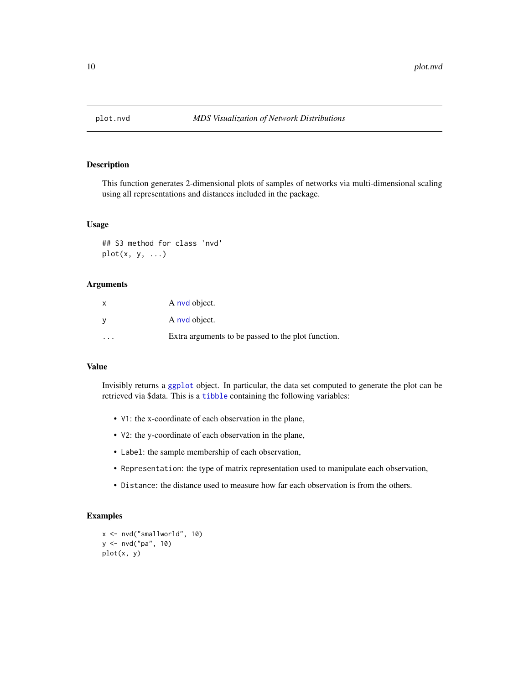<span id="page-9-0"></span>

This function generates 2-dimensional plots of samples of networks via multi-dimensional scaling using all representations and distances included in the package.

#### Usage

## S3 method for class 'nvd' plot(x, y, ...)

#### Arguments

|   | A nyd object.                                      |
|---|----------------------------------------------------|
|   | A nyd object.                                      |
| . | Extra arguments to be passed to the plot function. |

#### Value

Invisibly returns a [ggplot](#page-0-0) object. In particular, the data set computed to generate the plot can be retrieved via \$data. This is a [tibble](#page-0-0) containing the following variables:

- V1: the x-coordinate of each observation in the plane,
- V2: the y-coordinate of each observation in the plane,
- Label: the sample membership of each observation,
- Representation: the type of matrix representation used to manipulate each observation,
- Distance: the distance used to measure how far each observation is from the others.

#### Examples

```
x <- nvd("smallworld", 10)
y <- nvd("pa", 10)
plot(x, y)
```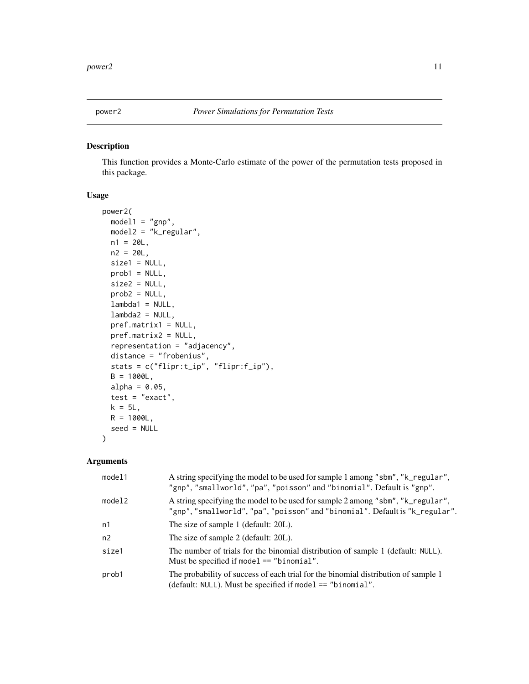<span id="page-10-0"></span>

This function provides a Monte-Carlo estimate of the power of the permutation tests proposed in this package.

#### Usage

```
power2(
  model1 = "gnp",model2 = "k_regular",
 n1 = 20L,
 n2 = 20L,
  size1 = NULL,
  prob1 = NULL,
  size2 = NULL,
 prob2 = NULL,
  lambda1 = NULL,lambda2 = NULL,pref.matrix1 = NULL,
 pref.matrix2 = NULL,
  representation = "adjacency",
  distance = "frobenius",
  stats = c("flipr:t_ip", "flipr:f_ip"),
 B = 1000L,alpha = 0.05,
  test = "exact",
 k = 5L,
 R = 1000L,seed = NULL
\mathcal{L}
```

| model1 | A string specifying the model to be used for sample 1 among "sbm", "k_regular",<br>"gnp", "smallworld", "pa", "poisson" and "binomial". Default is "gnp".       |
|--------|-----------------------------------------------------------------------------------------------------------------------------------------------------------------|
| model2 | A string specifying the model to be used for sample 2 among "sbm", "k_regular",<br>"gnp", "smallworld", "pa", "poisson" and "binomial". Default is "k_regular". |
| n1     | The size of sample 1 (default: 20L).                                                                                                                            |
| n2     | The size of sample 2 (default: 20L).                                                                                                                            |
| size1  | The number of trials for the binomial distribution of sample 1 (default: NULL).<br>Must be specified if model $==$ "binomial".                                  |
| prob1  | The probability of success of each trial for the binomial distribution of sample 1<br>(default: NULL). Must be specified if model == "binomial".                |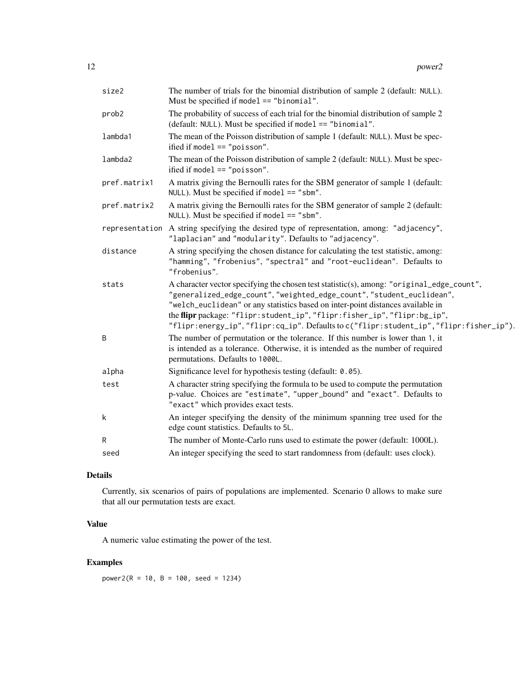| size2        | The number of trials for the binomial distribution of sample 2 (default: NULL).<br>Must be specified if model $==$ "binomial".                                                                                                                                                                                                                                                                                                |
|--------------|-------------------------------------------------------------------------------------------------------------------------------------------------------------------------------------------------------------------------------------------------------------------------------------------------------------------------------------------------------------------------------------------------------------------------------|
| prob2        | The probability of success of each trial for the binomial distribution of sample 2<br>(default: NULL). Must be specified if model == "binomial".                                                                                                                                                                                                                                                                              |
| lambda1      | The mean of the Poisson distribution of sample 1 (default: NULL). Must be spec-<br>ified if model $==$ "poisson".                                                                                                                                                                                                                                                                                                             |
| lambda2      | The mean of the Poisson distribution of sample 2 (default: NULL). Must be spec-<br>ified if model $==$ "poisson".                                                                                                                                                                                                                                                                                                             |
| pref.matrix1 | A matrix giving the Bernoulli rates for the SBM generator of sample 1 (default:<br>NULL). Must be specified if model $==$ "sbm".                                                                                                                                                                                                                                                                                              |
| pref.matrix2 | A matrix giving the Bernoulli rates for the SBM generator of sample 2 (default:<br>NULL). Must be specified if model $==$ "sbm".                                                                                                                                                                                                                                                                                              |
|              | representation A string specifying the desired type of representation, among: "adjacency",<br>"laplacian" and "modularity". Defaults to "adjacency".                                                                                                                                                                                                                                                                          |
| distance     | A string specifying the chosen distance for calculating the test statistic, among:<br>"hamming", "frobenius", "spectral" and "root-euclidean". Defaults to<br>"frobenius".                                                                                                                                                                                                                                                    |
| stats        | A character vector specifying the chosen test statistic(s), among: "original_edge_count",<br>"generalized_edge_count", "weighted_edge_count", "student_euclidean",<br>"welch_euclidean" or any statistics based on inter-point distances available in<br>the flipr package: "flipr: student_ip", "flipr: fisher_ip", "flipr: bg_ip",<br>"flipr:energy_ip","flipr:cq_ip". Defaults to c("flipr:student_ip","flipr:fisher_ip"). |
| B            | The number of permutation or the tolerance. If this number is lower than 1, it<br>is intended as a tolerance. Otherwise, it is intended as the number of required<br>permutations. Defaults to 1000L.                                                                                                                                                                                                                         |
| alpha        | Significance level for hypothesis testing (default: 0.05).                                                                                                                                                                                                                                                                                                                                                                    |
| test         | A character string specifying the formula to be used to compute the permutation<br>p-value. Choices are "estimate", "upper_bound" and "exact". Defaults to<br>"exact" which provides exact tests.                                                                                                                                                                                                                             |
| k            | An integer specifying the density of the minimum spanning tree used for the<br>edge count statistics. Defaults to 5L.                                                                                                                                                                                                                                                                                                         |
| R            | The number of Monte-Carlo runs used to estimate the power (default: 1000L).                                                                                                                                                                                                                                                                                                                                                   |
| seed         | An integer specifying the seed to start randomness from (default: uses clock).                                                                                                                                                                                                                                                                                                                                                |

#### Details

Currently, six scenarios of pairs of populations are implemented. Scenario 0 allows to make sure that all our permutation tests are exact.

#### Value

A numeric value estimating the power of the test.

# Examples

power2( $R = 10$ ,  $B = 100$ , seed = 1234)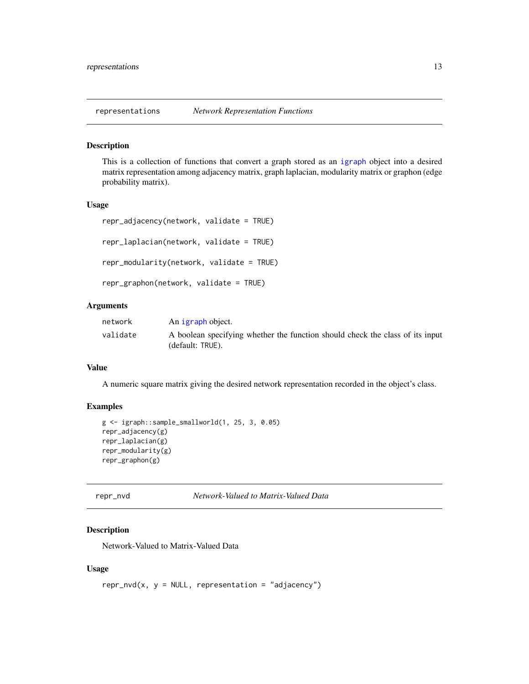<span id="page-12-0"></span>

This is a collection of functions that convert a graph stored as an [igraph](#page-0-0) object into a desired matrix representation among adjacency matrix, graph laplacian, modularity matrix or graphon (edge probability matrix).

#### Usage

```
repr_adjacency(network, validate = TRUE)
repr_laplacian(network, validate = TRUE)
repr_modularity(network, validate = TRUE)
repr_graphon(network, validate = TRUE)
```
#### Arguments

| network  | An igraph object.                                                                                 |
|----------|---------------------------------------------------------------------------------------------------|
| validate | A boolean specifying whether the function should check the class of its input<br>(default: TRUE). |

#### Value

A numeric square matrix giving the desired network representation recorded in the object's class.

#### Examples

```
g <- igraph::sample_smallworld(1, 25, 3, 0.05)
repr_adjacency(g)
repr_laplacian(g)
repr_modularity(g)
repr_graphon(g)
```
repr\_nvd *Network-Valued to Matrix-Valued Data*

#### Description

Network-Valued to Matrix-Valued Data

#### Usage

```
repr_nvd(x, y = NULL, representation = "adjacency")
```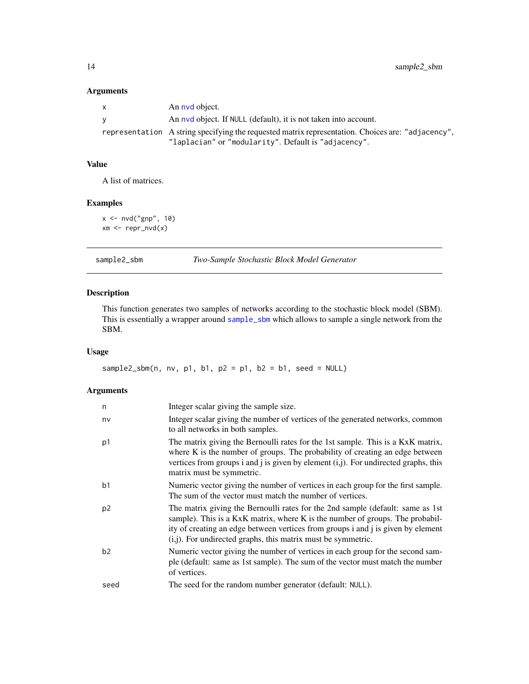#### Arguments

| $\mathsf{x}$ | An nyd object.                                                                                    |
|--------------|---------------------------------------------------------------------------------------------------|
| <b>V</b>     | An nyd object. If NULL (default), it is not taken into account.                                   |
|              | representation A string specifying the requested matrix representation. Choices are: "adjacency", |
|              | "laplacian" or "modularity". Default is "adjacency".                                              |

#### Value

A list of matrices.

#### Examples

 $x \leftarrow \text{nvd("gnp", 10)}$  $xm \leftarrow repr_{nvd}(x)$ 

| sample2_sbm |  |
|-------------|--|
|             |  |

#### sample2\_sbm *Two-Sample Stochastic Block Model Generator*

#### Description

This function generates two samples of networks according to the stochastic block model (SBM). This is essentially a wrapper around [sample\\_sbm](#page-0-0) which allows to sample a single network from the SBM.

#### Usage

sample2\_sbm(n, nv, p1, b1, p2 = p1, b2 = b1, seed = NULL)

| Integer scalar giving the sample size.                                                                                                                                                                                                                                                                                 |
|------------------------------------------------------------------------------------------------------------------------------------------------------------------------------------------------------------------------------------------------------------------------------------------------------------------------|
| Integer scalar giving the number of vertices of the generated networks, common<br>to all networks in both samples.                                                                                                                                                                                                     |
| The matrix giving the Bernoulli rates for the 1st sample. This is a KxK matrix,<br>where K is the number of groups. The probability of creating an edge between<br>vertices from groups i and j is given by element $(i, j)$ . For undirected graphs, this<br>matrix must be symmetric.                                |
| Numeric vector giving the number of vertices in each group for the first sample.<br>The sum of the vector must match the number of vertices.                                                                                                                                                                           |
| The matrix giving the Bernoulli rates for the 2nd sample (default: same as 1st<br>sample). This is a KxK matrix, where K is the number of groups. The probabil-<br>ity of creating an edge between vertices from groups i and j is given by element<br>$(i,j)$ . For undirected graphs, this matrix must be symmetric. |
| Numeric vector giving the number of vertices in each group for the second sam-<br>ple (default: same as 1st sample). The sum of the vector must match the number<br>of vertices.                                                                                                                                       |
| The seed for the random number generator (default: NULL).                                                                                                                                                                                                                                                              |
|                                                                                                                                                                                                                                                                                                                        |

<span id="page-13-0"></span>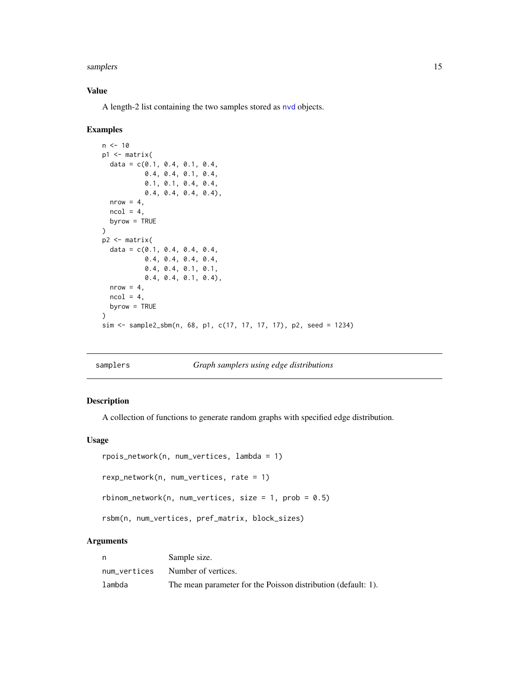#### <span id="page-14-0"></span>samplers and the sample of the state of the state of the state of the state of the state of the state of the state of the state of the state of the state of the state of the state of the state of the state of the state of

#### Value

A length-2 list containing the two samples stored as [nvd](#page-8-1) objects.

#### Examples

```
n < -10p1 \leq - matrix(
  data = c(0.1, 0.4, 0.1, 0.4,0.4, 0.4, 0.1, 0.4,
           0.1, 0.1, 0.4, 0.4,
           0.4, 0.4, 0.4, 0.4),
  nrow = 4,
  ncol = 4,
  byrow = TRUE
\lambdap2 <- matrix(
  data = c(0.1, 0.4, 0.4, 0.4,0.4, 0.4, 0.4, 0.4,
           0.4, 0.4, 0.1, 0.1,
           0.4, 0.4, 0.1, 0.4),
  nrow = 4,
  ncol = 4,
  byrow = TRUE
)
sim <- sample2_sbm(n, 68, p1, c(17, 17, 17, 17), p2, seed = 1234)
```
#### samplers *Graph samplers using edge distributions*

#### Description

A collection of functions to generate random graphs with specified edge distribution.

#### Usage

```
rpois_network(n, num_vertices, lambda = 1)
rexp_network(n, num_vertices, rate = 1)
rbinom_network(n, num_vertices, size = 1, prob = 0.5)
rsbm(n, num_vertices, pref_matrix, block_sizes)
```

| n      | Sample size.                                                  |
|--------|---------------------------------------------------------------|
|        | num_vertices Number of vertices.                              |
| lambda | The mean parameter for the Poisson distribution (default: 1). |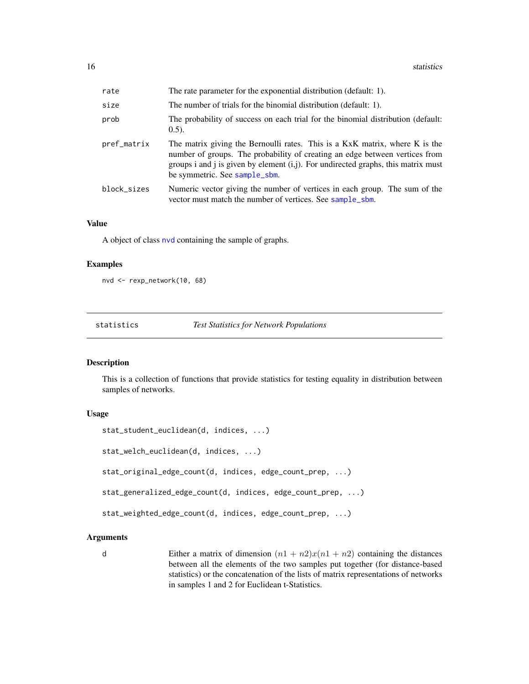<span id="page-15-0"></span>

| rate        | The rate parameter for the exponential distribution (default: 1).                                                                                                                                                                                                                   |
|-------------|-------------------------------------------------------------------------------------------------------------------------------------------------------------------------------------------------------------------------------------------------------------------------------------|
| size        | The number of trials for the binomial distribution (default: 1).                                                                                                                                                                                                                    |
| prob        | The probability of success on each trial for the binomial distribution (default:<br>$(0.5)$ .                                                                                                                                                                                       |
| pref_matrix | The matrix giving the Bernoulli rates. This is a KxK matrix, where K is the<br>number of groups. The probability of creating an edge between vertices from<br>groups i and j is given by element $(i,j)$ . For undirected graphs, this matrix must<br>be symmetric. See sample_sbm. |
| block_sizes | Numeric vector giving the number of vertices in each group. The sum of the<br>vector must match the number of vertices. See sample_sbm.                                                                                                                                             |

#### Value

A object of class [nvd](#page-8-1) containing the sample of graphs.

#### Examples

```
nvd <- rexp_network(10, 68)
```
statistics *Test Statistics for Network Populations*

#### Description

This is a collection of functions that provide statistics for testing equality in distribution between samples of networks.

#### Usage

```
stat_student_euclidean(d, indices, ...)
stat_welch_euclidean(d, indices, ...)
stat_original_edge_count(d, indices, edge_count_prep, ...)
stat_generalized_edge_count(d, indices, edge_count_prep, ...)
stat_weighted_edge_count(d, indices, edge_count_prep, ...)
```
#### Arguments

d Either a matrix of dimension  $(n1 + n2)x(n1 + n2)$  containing the distances between all the elements of the two samples put together (for distance-based statistics) or the concatenation of the lists of matrix representations of networks in samples 1 and 2 for Euclidean t-Statistics.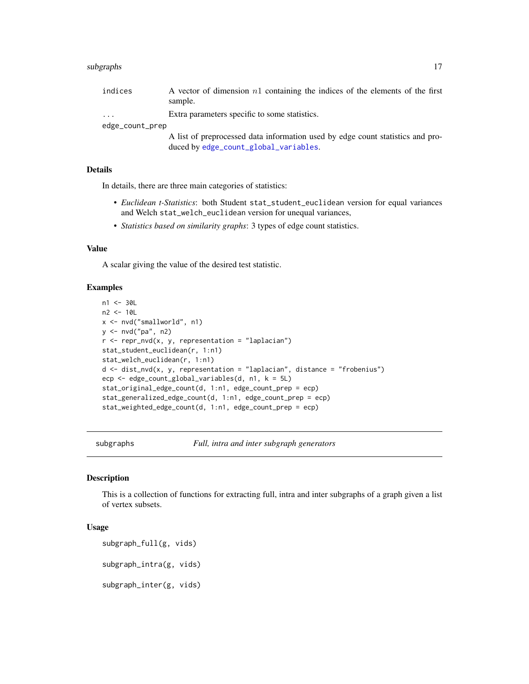#### <span id="page-16-0"></span>subgraphs and the subgraphs of the subgraphs of the subgraphs of the subgraphs of the subgraphs of the subgraphs of the subgraphs of the subgraphs of the subgraphs of the subgraphs of the subgraphs of the subgraphs of the

| indices | A vector of dimension $n_1$ containing the indices of the elements of the first |
|---------|---------------------------------------------------------------------------------|
|         | sample.                                                                         |
|         | Extra perspectors specific to some statistics.                                  |

... **Extra parameters specific to some statistics.** 

edge\_count\_prep

A list of preprocessed data information used by edge count statistics and produced by [edge\\_count\\_global\\_variables](#page-5-1).

#### Details

In details, there are three main categories of statistics:

- *Euclidean t-Statistics*: both Student stat\_student\_euclidean version for equal variances and Welch stat\_welch\_euclidean version for unequal variances,
- *Statistics based on similarity graphs*: 3 types of edge count statistics.

#### Value

A scalar giving the value of the desired test statistic.

#### Examples

```
n1 <- 30L
n2 <- 10L
x <- nvd("smallworld", n1)
y <- nvd("pa", n2)
r < - repr_nvd(x, y, representation = "laplacian")
stat_student_euclidean(r, 1:n1)
stat_welch_euclidean(r, 1:n1)
d \leq - dist_nvd(x, y, representation = "laplacian", distance = "frobenius")
ecp <- edge_count_global_variables(d, n1, k = 5L)
stat_original_edge_count(d, 1:n1, edge_count_prep = ecp)
stat_generalized_edge_count(d, 1:n1, edge_count_prep = ecp)
stat_weighted_edge_count(d, 1:n1, edge_count_prep = ecp)
```
subgraphs *Full, intra and inter subgraph generators*

#### Description

This is a collection of functions for extracting full, intra and inter subgraphs of a graph given a list of vertex subsets.

#### Usage

```
subgraph_full(g, vids)
subgraph_intra(g, vids)
```
subgraph\_inter(g, vids)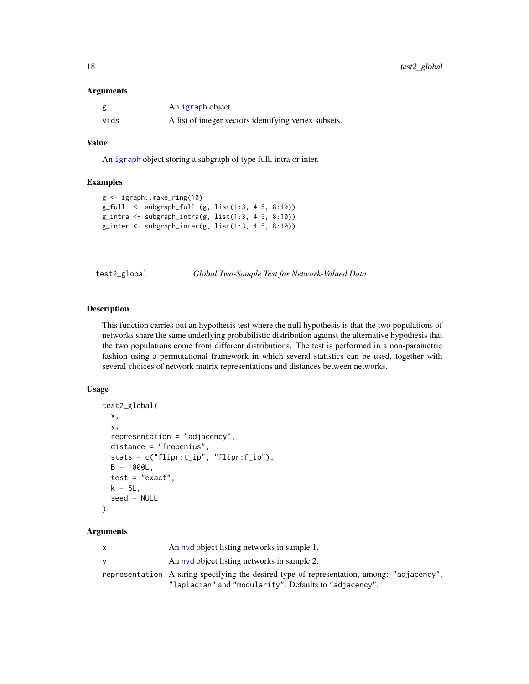#### <span id="page-17-0"></span>**Arguments**

|      | An igraph object.                                     |
|------|-------------------------------------------------------|
| vids | A list of integer vectors identifying vertex subsets. |

#### Value

An [igraph](#page-0-0) object storing a subgraph of type full, intra or inter.

#### Examples

```
g <- igraph::make_ring(10)
g_full <- subgraph_full (g, list(1:3, 4:5, 8:10))
g_{\text{intra}} \leftarrow \text{subgraph}_{\text{intra}}(g, \text{list}(1:3, 4:5, 8:10))g_inter <- subgraph_inter(g, list(1:3, 4:5, 8:10))
```
test2\_global *Global Two-Sample Test for Network-Valued Data*

#### Description

This function carries out an hypothesis test where the null hypothesis is that the two populations of networks share the same underlying probabilistic distribution against the alternative hypothesis that the two populations come from different distributions. The test is performed in a non-parametric fashion using a permutational framework in which several statistics can be used, together with several choices of network matrix representations and distances between networks.

#### Usage

```
test2_global(
 x,
 y,
  representation = "adjacency",
 distance = "frobenius",
  stats = c("flipr:t_ip", "flipr:f_ip"),
 B = 1000L,test = "exact",k = 5L,
  seed = NULL
)
```

| $\mathsf{x}$ | An nyd object listing networks in sample 1.                                                |
|--------------|--------------------------------------------------------------------------------------------|
| V            | An nyd object listing networks in sample 2.                                                |
|              | representation A string specifying the desired type of representation, among: "adjacency", |
|              | "laplacian" and "modularity". Defaults to "adjacency".                                     |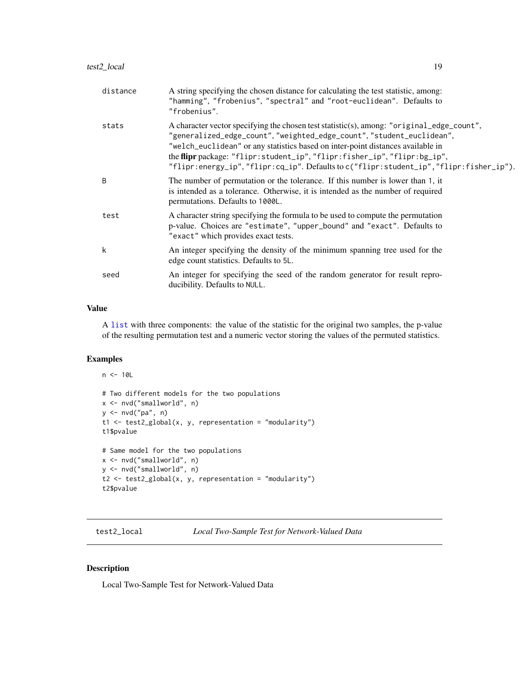<span id="page-18-0"></span>

| distance | A string specifying the chosen distance for calculating the test statistic, among:<br>"hamming", "frobenius", "spectral" and "root-euclidean". Defaults to<br>"frobenius".                                                                                                                                                                                                                                                   |
|----------|------------------------------------------------------------------------------------------------------------------------------------------------------------------------------------------------------------------------------------------------------------------------------------------------------------------------------------------------------------------------------------------------------------------------------|
| stats    | A character vector specifying the chosen test statistic(s), among: "original_edge_count",<br>"generalized_edge_count", "weighted_edge_count", "student_euclidean",<br>"welch_euclidean" or any statistics based on inter-point distances available in<br>the flipr package: "flipr: student_ip", "flipr: fisher_ip", "flipr: bg_ip",<br>"flipr:energy_ip","flipr:cq_ip".Defaults to c("flipr:student_ip","flipr:fisher_ip"). |
| B        | The number of permutation or the tolerance. If this number is lower than 1, it<br>is intended as a tolerance. Otherwise, it is intended as the number of required<br>permutations. Defaults to 1000L.                                                                                                                                                                                                                        |
| test     | A character string specifying the formula to be used to compute the permutation<br>p-value. Choices are "estimate", "upper_bound" and "exact". Defaults to<br>"exact" which provides exact tests.                                                                                                                                                                                                                            |
| k        | An integer specifying the density of the minimum spanning tree used for the<br>edge count statistics. Defaults to 5L.                                                                                                                                                                                                                                                                                                        |
| seed     | An integer for specifying the seed of the random generator for result repro-<br>ducibility. Defaults to NULL.                                                                                                                                                                                                                                                                                                                |
|          |                                                                                                                                                                                                                                                                                                                                                                                                                              |

#### Value

A [list](#page-0-0) with three components: the value of the statistic for the original two samples, the p-value of the resulting permutation test and a numeric vector storing the values of the permuted statistics.

#### Examples

```
n < -10L# Two different models for the two populations
x <- nvd("smallworld", n)
y \le - nvd("pa", n)
t1 <- test2_global(x, y, representation = "modularity")
t1$pvalue
# Same model for the two populations
x <- nvd("smallworld", n)
y <- nvd("smallworld", n)
t2 <- test2_global(x, y, representation = "modularity")
t2$pvalue
```
test2\_local *Local Two-Sample Test for Network-Valued Data*

#### Description

Local Two-Sample Test for Network-Valued Data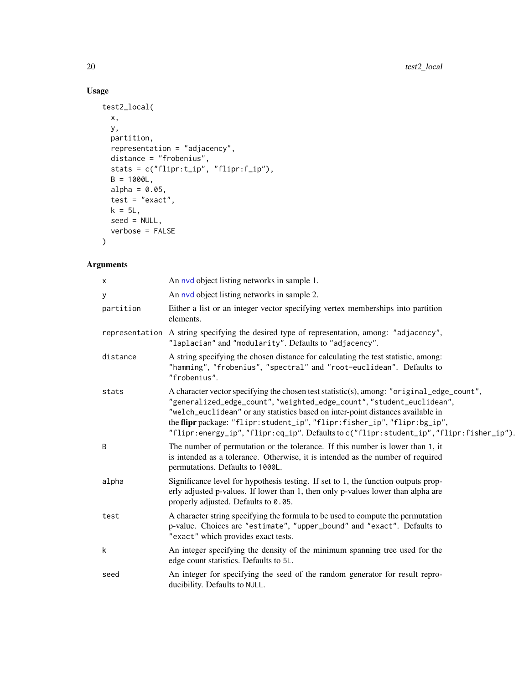### Usage

```
test2_local(
 x,
 y,
 partition,
 representation = "adjacency",
  distance = "frobenius",
  stats = c("flipr:t_ip", "flipr:f_ip"),
 B = 1000L,alpha = 0.05,
 test = "exact",k = 5L,
 seed = NULL,
 verbose = FALSE
\mathcal{L}
```

| X         | An nyd object listing networks in sample 1.                                                                                                                                                                                                                                                                                                                                                                               |
|-----------|---------------------------------------------------------------------------------------------------------------------------------------------------------------------------------------------------------------------------------------------------------------------------------------------------------------------------------------------------------------------------------------------------------------------------|
| У         | An nyd object listing networks in sample 2.                                                                                                                                                                                                                                                                                                                                                                               |
| partition | Either a list or an integer vector specifying vertex memberships into partition<br>elements.                                                                                                                                                                                                                                                                                                                              |
|           | representation A string specifying the desired type of representation, among: "adjacency",<br>"laplacian" and "modularity". Defaults to "adjacency".                                                                                                                                                                                                                                                                      |
| distance  | A string specifying the chosen distance for calculating the test statistic, among:<br>"hamming", "frobenius", "spectral" and "root-euclidean". Defaults to<br>"frobenius".                                                                                                                                                                                                                                                |
| stats     | A character vector specifying the chosen test statistic(s), among: "original_edge_count",<br>"generalized_edge_count", "weighted_edge_count", "student_euclidean",<br>"welch_euclidean" or any statistics based on inter-point distances available in<br>the flipr package: "flipr:student_ip", "flipr:fisher_ip", "flipr:bg_ip",<br>"flipr:energy_ip","flipr:cq_ip".Defaults to c("flipr:student_ip","flipr:fisher_ip"). |
| B         | The number of permutation or the tolerance. If this number is lower than 1, it<br>is intended as a tolerance. Otherwise, it is intended as the number of required<br>permutations. Defaults to 1000L.                                                                                                                                                                                                                     |
| alpha     | Significance level for hypothesis testing. If set to 1, the function outputs prop-<br>erly adjusted p-values. If lower than 1, then only p-values lower than alpha are<br>properly adjusted. Defaults to 0.05.                                                                                                                                                                                                            |
| test      | A character string specifying the formula to be used to compute the permutation<br>p-value. Choices are "estimate", "upper_bound" and "exact". Defaults to<br>"exact" which provides exact tests.                                                                                                                                                                                                                         |
| k         | An integer specifying the density of the minimum spanning tree used for the<br>edge count statistics. Defaults to 5L.                                                                                                                                                                                                                                                                                                     |
| seed      | An integer for specifying the seed of the random generator for result repro-<br>ducibility. Defaults to NULL.                                                                                                                                                                                                                                                                                                             |

<span id="page-19-0"></span>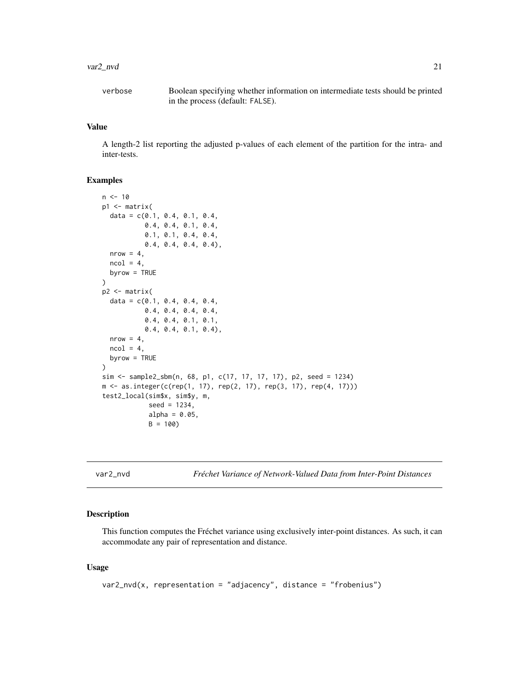#### <span id="page-20-0"></span>var2\_nvd 21

verbose Boolean specifying whether information on intermediate tests should be printed in the process (default: FALSE).

#### Value

A length-2 list reporting the adjusted p-values of each element of the partition for the intra- and inter-tests.

#### Examples

```
n < -10p1 <- matrix(
  data = c(0.1, 0.4, 0.1, 0.4,0.4, 0.4, 0.1, 0.4,
           0.1, 0.1, 0.4, 0.4,
           0.4, 0.4, 0.4, 0.4),
  nrow = 4,
  ncol = 4,
  byrow = TRUE
\mathcal{L}p2 < - matrix(
  data = c(0.1, 0.4, 0.4, 0.4,0.4, 0.4, 0.4, 0.4,
           0.4, 0.4, 0.1, 0.1,
           0.4, 0.4, 0.1, 0.4),
  nrow = 4,
  ncol = 4,
  byrow = TRUE
)
sim <- sample2_sbm(n, 68, p1, c(17, 17, 17, 17), p2, seed = 1234)
m \le - as.integer(c(rep(1, 17), rep(2, 17), rep(3, 17), rep(4, 17)))
test2_local(sim$x, sim$y, m,
            seed = 1234,
            alpha = 0.05,
            B = 100
```
var2\_nvd *Fréchet Variance of Network-Valued Data from Inter-Point Distances*

#### Description

This function computes the Fréchet variance using exclusively inter-point distances. As such, it can accommodate any pair of representation and distance.

#### Usage

```
var2_nvd(x, representation = "adjacency", distance = "frobenius")
```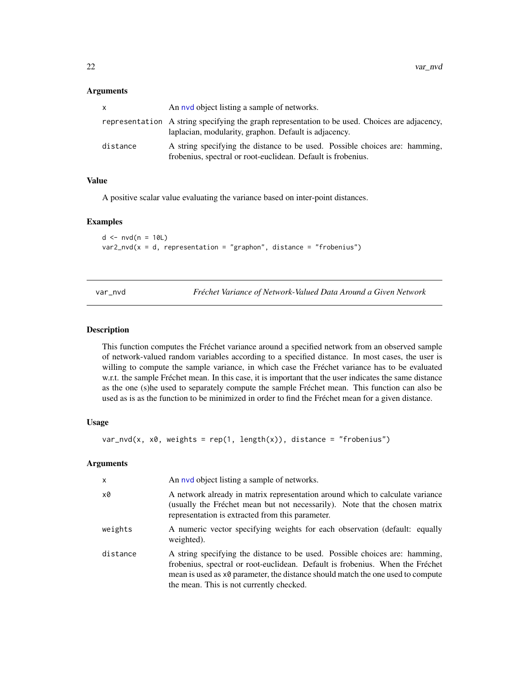#### <span id="page-21-0"></span>Arguments

| x.       | An nyd object listing a sample of networks.                                                                                                             |
|----------|---------------------------------------------------------------------------------------------------------------------------------------------------------|
|          | representation A string specifying the graph representation to be used. Choices are adjacency,<br>laplacian, modularity, graphon. Default is adjacency. |
| distance | A string specifying the distance to be used. Possible choices are: hamming,<br>frobenius, spectral or root-euclidean. Default is frobenius.             |

#### Value

A positive scalar value evaluating the variance based on inter-point distances.

#### Examples

 $d \leq -nv d(n = 10L)$  $var2_nvd(x = d, representation = "graphon", distance = "frobenius")$ 

var\_nvd *Fréchet Variance of Network-Valued Data Around a Given Network*

#### Description

This function computes the Fréchet variance around a specified network from an observed sample of network-valued random variables according to a specified distance. In most cases, the user is willing to compute the sample variance, in which case the Fréchet variance has to be evaluated w.r.t. the sample Fréchet mean. In this case, it is important that the user indicates the same distance as the one (s)he used to separately compute the sample Fréchet mean. This function can also be used as is as the function to be minimized in order to find the Fréchet mean for a given distance.

#### Usage

 $var_nwd(x, x\theta, weights = rep(1, length(x)), distance = "frobenius")$ 

| $\mathsf{x}$ | An nyd object listing a sample of networks.                                                                                                                                                                                                                                                 |
|--------------|---------------------------------------------------------------------------------------------------------------------------------------------------------------------------------------------------------------------------------------------------------------------------------------------|
| x0           | A network already in matrix representation around which to calculate variance<br>(usually the Fréchet mean but not necessarily). Note that the chosen matrix<br>representation is extracted from this parameter.                                                                            |
| weights      | A numeric vector specifying weights for each observation (default: equally<br>weighted).                                                                                                                                                                                                    |
| distance     | A string specifying the distance to be used. Possible choices are: hamming,<br>frobenius, spectral or root-euclidean. Default is frobenius. When the Fréchet<br>mean is used as x0 parameter, the distance should match the one used to compute<br>the mean. This is not currently checked. |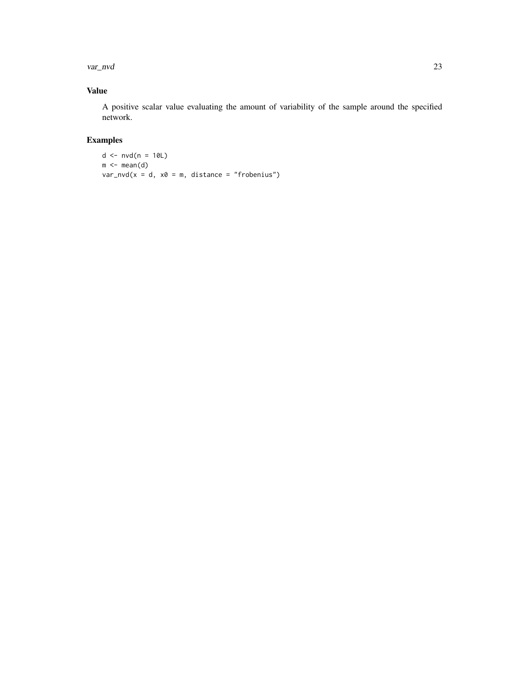var\_nvd 23

#### Value

A positive scalar value evaluating the amount of variability of the sample around the specified network.

## Examples

```
d \leq -n \nu d(n = 10L)m \leftarrow \text{mean}(d)var_nvd(x = d, x0 = m, distance = "frobenius")
```